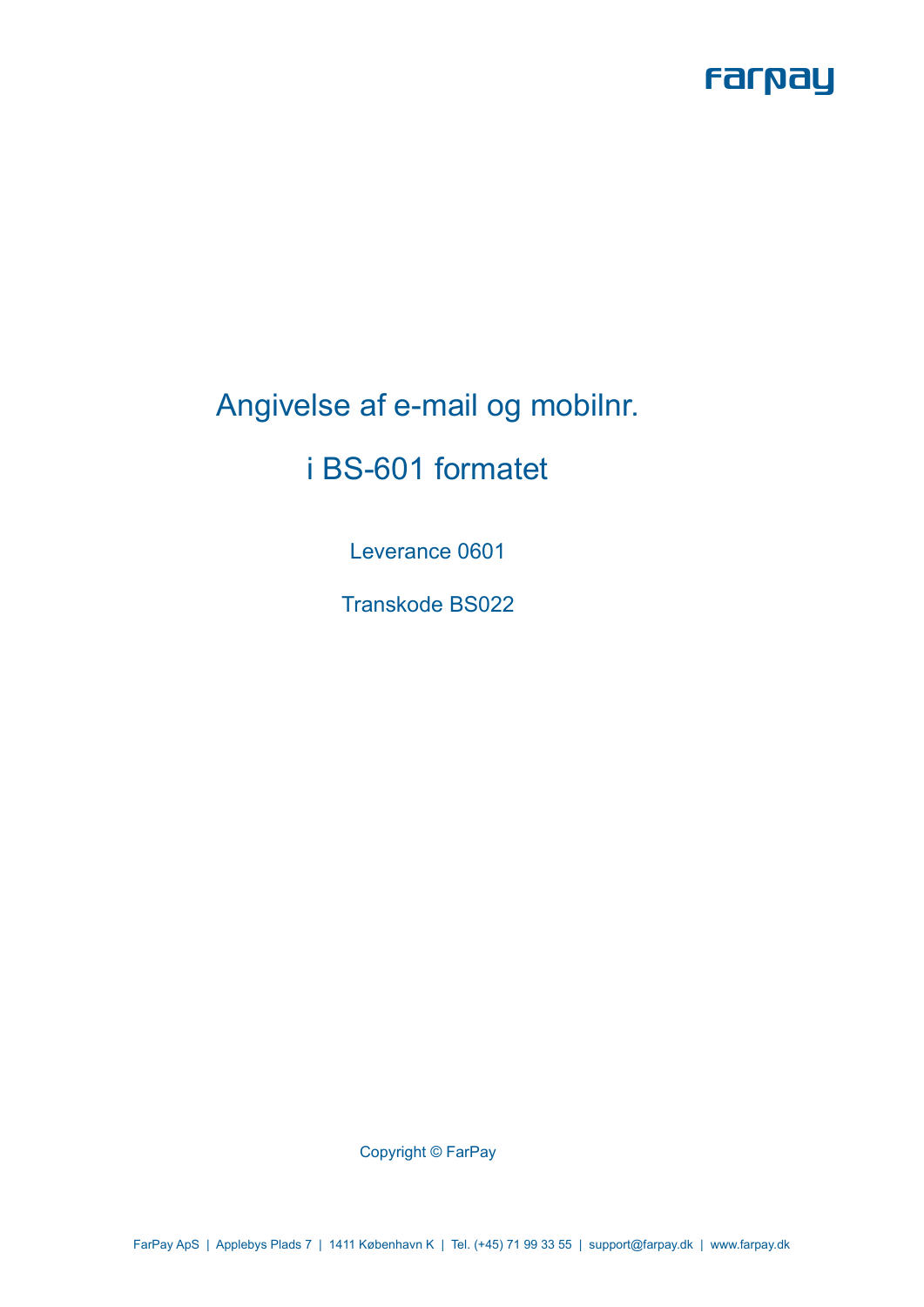

# Angivelse af e-mail og mobilnr.

## i BS-601 formatet

Leverance 0601

Transkode BS022

Copyright © FarPay

FarPay ApS | Applebys Plads 7 | 1411 København K | Tel. (+45) 71 99 33 55 | support@farpay.dk | www.farpay.dk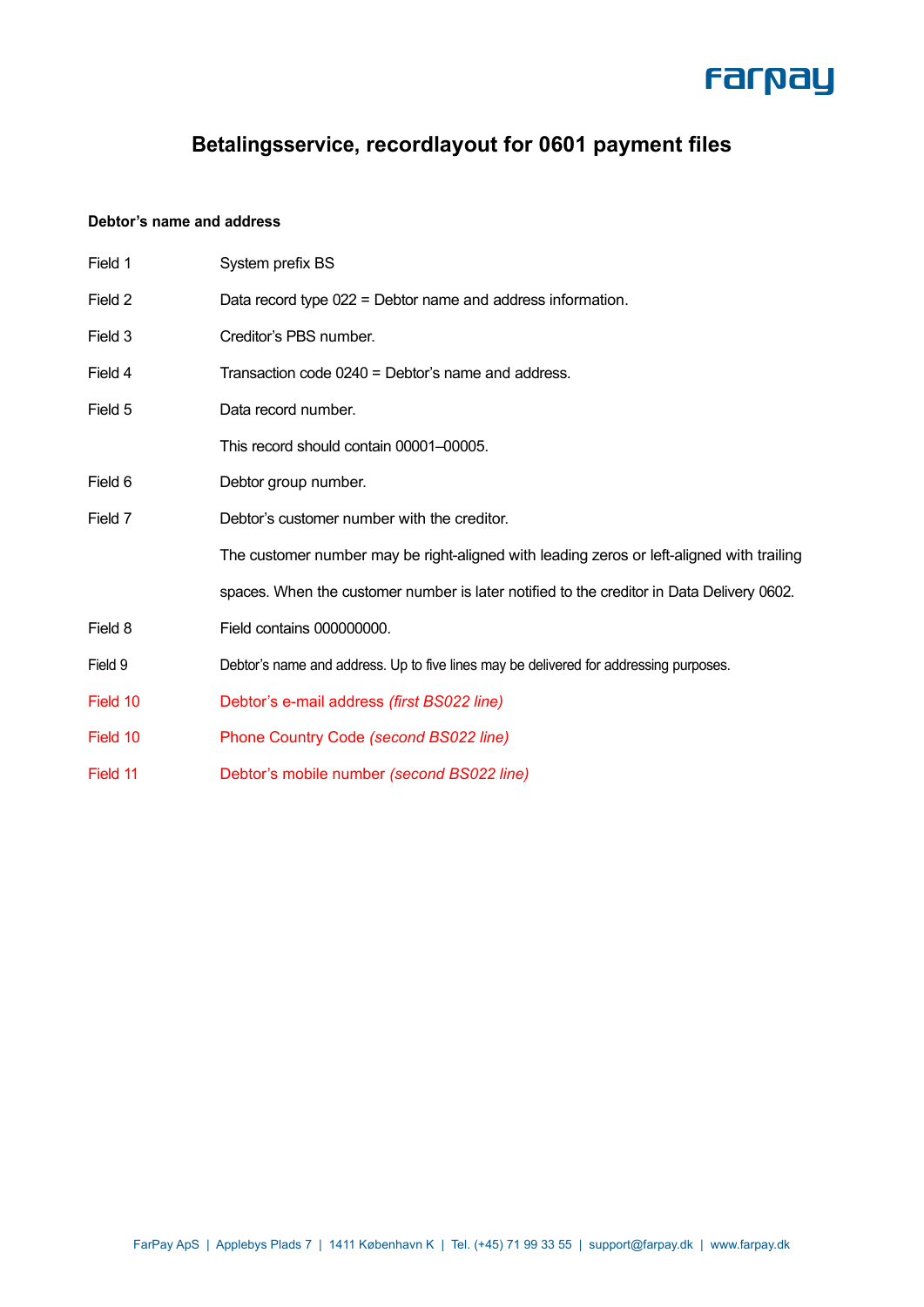

## **Betalingsservice, recordlayout for 0601 payment files**

#### **Debtor's name and address**

| Field 1  | System prefix BS                                                                          |  |  |  |  |
|----------|-------------------------------------------------------------------------------------------|--|--|--|--|
| Field 2  | Data record type 022 = Debtor name and address information.                               |  |  |  |  |
| Field 3  | Creditor's PBS number.                                                                    |  |  |  |  |
| Field 4  | Transaction code 0240 = Debtor's name and address.                                        |  |  |  |  |
| Field 5  | Data record number.                                                                       |  |  |  |  |
|          | This record should contain 00001-00005.                                                   |  |  |  |  |
| Field 6  | Debtor group number.                                                                      |  |  |  |  |
| Field 7  | Debtor's customer number with the creditor.                                               |  |  |  |  |
|          | The customer number may be right-aligned with leading zeros or left-aligned with trailing |  |  |  |  |
|          | spaces. When the customer number is later notified to the creditor in Data Delivery 0602. |  |  |  |  |
| Field 8  | Field contains 000000000.                                                                 |  |  |  |  |
| Field 9  | Debtor's name and address. Up to five lines may be delivered for addressing purposes.     |  |  |  |  |
| Field 10 | Debtor's e-mail address (first BS022 line)                                                |  |  |  |  |
| Field 10 | Phone Country Code (second BS022 line)                                                    |  |  |  |  |
| Field 11 | Debtor's mobile number (second BS022 line)                                                |  |  |  |  |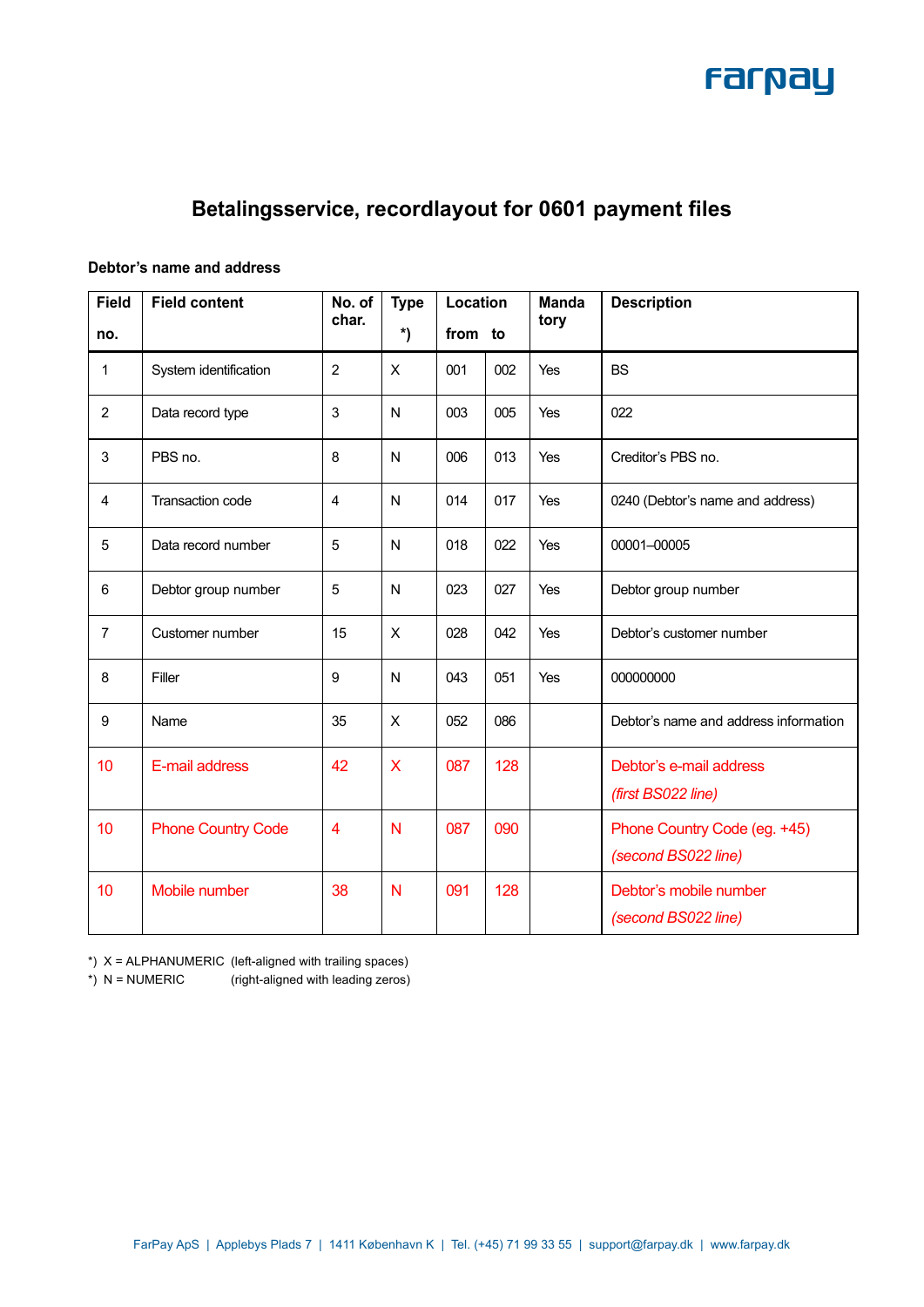

## **Betalingsservice, recordlayout for 0601 payment files**

#### **Debtor's name and address**

| <b>Field</b>   | <b>Field content</b>      | No. of<br>char. | <b>Type</b><br>Location |         | <b>Manda</b> | <b>Description</b> |                                               |
|----------------|---------------------------|-----------------|-------------------------|---------|--------------|--------------------|-----------------------------------------------|
| no.            |                           |                 | *)                      | from to |              | tory               |                                               |
| $\mathbf{1}$   | System identification     | $\overline{c}$  | X                       | 001     | 002          | Yes                | <b>BS</b>                                     |
| 2              | Data record type          | 3               | N                       | 003     | 005          | Yes                | 022                                           |
| 3              | PBS no.                   | 8               | N                       | 006     | 013          | Yes                | Creditor's PBS no.                            |
| 4              | Transaction code          | $\overline{4}$  | N                       | 014     | 017          | Yes                | 0240 (Debtor's name and address)              |
| 5              | Data record number        | 5               | N                       | 018     | 022          | Yes                | 00001-00005                                   |
| $6\phantom{1}$ | Debtor group number       | 5               | N                       | 023     | 027          | Yes                | Debtor group number                           |
| $\overline{7}$ | Customer number           | 15              | X                       | 028     | 042          | Yes                | Debtor's customer number                      |
| 8              | Filler                    | 9               | N                       | 043     | 051          | Yes                | 000000000                                     |
| 9              | Name                      | 35              | $\mathsf{X}$            | 052     | 086          |                    | Debtor's name and address information         |
| 10             | E-mail address            | 42              | X                       | 087     | 128          |                    | Debtor's e-mail address<br>(first BS022 line) |
| 10             | <b>Phone Country Code</b> | $\overline{4}$  | N                       | 087     | 090          |                    | Phone Country Code (eg. +45)                  |
|                |                           |                 |                         |         |              |                    | (second BS022 line)                           |
| 10             | Mobile number             | 38              | N                       | 091     | 128          |                    | Debtor's mobile number                        |
|                |                           |                 |                         |         |              |                    | (second BS022 line)                           |

 $*$ )  $X = ALPHANUMERIC$  (left-aligned with trailing spaces)

\*) N = NUMERIC (right-aligned with leading zeros)